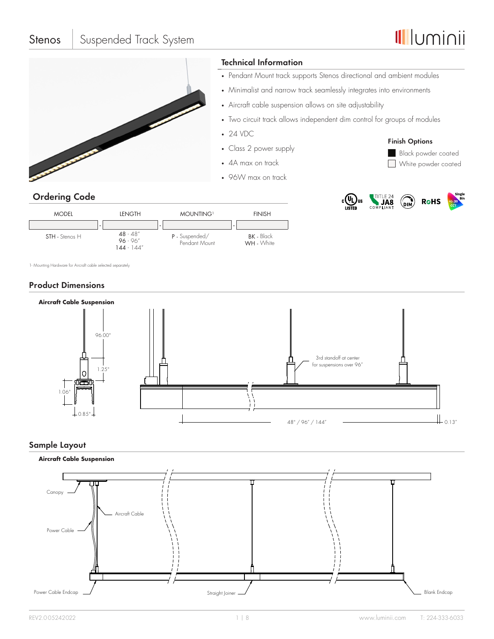|                      |               | <b>Technical Information</b>                             |                                                                          |  |  |  |  |  |
|----------------------|---------------|----------------------------------------------------------|--------------------------------------------------------------------------|--|--|--|--|--|
|                      |               |                                                          | • Pendant Mount track supports Stenos directional and ambient modules    |  |  |  |  |  |
|                      |               |                                                          | • Minimalist and narrow track seamlessly integrates into environments    |  |  |  |  |  |
|                      |               | • Aircraft cable suspension allows on site adjustability |                                                                          |  |  |  |  |  |
|                      |               |                                                          | • Two circuit track allows independent dim control for groups of modules |  |  |  |  |  |
|                      |               | $\cdot$ 24 VDC                                           |                                                                          |  |  |  |  |  |
|                      |               | • Class 2 power supply                                   | <b>Finish Options</b><br>Black powder coated                             |  |  |  |  |  |
|                      |               | • 4A max on track                                        | White powder coated                                                      |  |  |  |  |  |
|                      |               | • 96W max on track                                       |                                                                          |  |  |  |  |  |
| <b>Ordering Code</b> |               |                                                          | Single<br>Bin<br>JA8<br><b>RoHS</b>                                      |  |  |  |  |  |
| <b>MODEL</b>         | <b>LENGTH</b> | <b>MOUNTING1</b><br><b>FINISH</b>                        | <b>LISTED</b>                                                            |  |  |  |  |  |

1- Mounting Hardware for Aircraft cable selected separately

96 144 - - - 48 - 48" 96" 144"

P - Suspended/ Pendant Mount

Stenos | Suspended Track System

# **Product Dimensions**

STH - Stenos H



BK - Black WH - White

# **Sample Layout**



**Illuminii**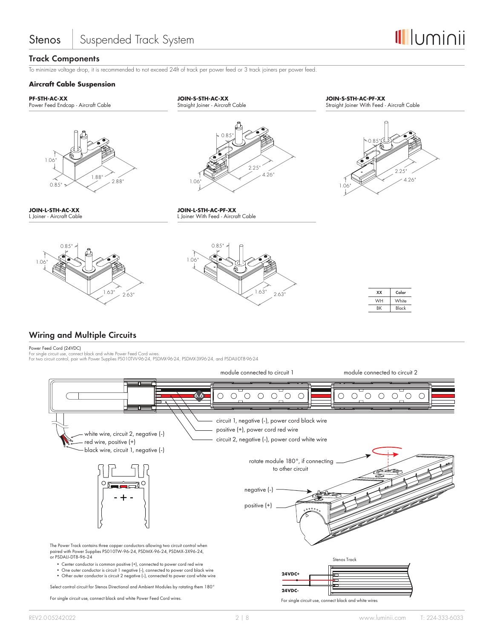# **Track Components**

To minimize voltage drop, it is recommended to not exceed 24ft of track per power feed or 3 track joiners per power feed.

**JOIN-S-STH-AC-XX** Straight Joiner - Aircraft Cable

#### **Aircraft Cable Suspension**

**PF-STH-AC-XX** Power Feed Endcap - Aircraft Cable



**JOIN-L-STH-AC-XX** L Joiner - Aircraft Cable





 $1.63"$  2.63

0.85"

 $0.85$ 

1.06"

2.25"  $0.85$ "

4.26"

**JOIN-S-STH-AC-PF-XX**

1.06"

Straight Joiner With Feed - Aircraft Cable

**XX Color** WH White BK Black

### **Wiring and Multiple Circuits**

P**ower Feed Cord (24VDC)**<br>For single circuit use, connect black and white Power Feed Cord wires.<br>For two circuit control, pair with Power Supplies PS010TW-96-24, PSDMX-96-24, PSDMX-3X96-24, and PSDALI-DT8-96-24

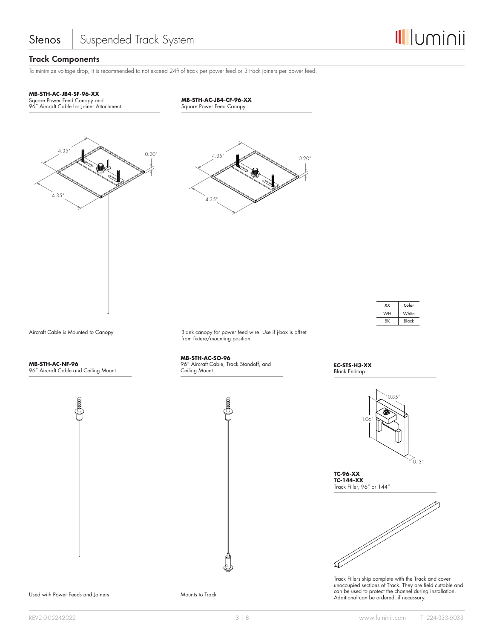### **Track Components**

To minimize voltage drop, it is recommended to not exceed 24ft of track per power feed or 3 track joiners per power feed.

#### **MB-STH-AC-JB4-SF-96-XX**

Square Power Feed Canopy and 96" Aircraft Cable for Joiner Attachment

4.35" 4.35" 0.20"



**MB-STH-AC-JB4-CF-96-XX** Square Power Feed Canopy

| xx        | Color |
|-----------|-------|
| <b>WH</b> | White |
|           | Black |

Aircraft Cable is Mounted to Canopy

**MB-STH-AC-NF-96**

96" Aircraft Cable and Ceiling Mount

Blank canopy for power feed wire. Use if j-box is offset from fixture/mounting position.

#### **MB-STH-AC-SO-96**

96" Aircraft Cable, Track Standoff, and Ceiling Mount

E





**TC-96-XX TC-144-XX** Track Filler, 96" or 144"



Track Fillers ship complete with the Track and cover unoccupied sections of Track. They are field cuttable and can be used to protect the channel during installation. can be used to protect the channel during<br>Additional can be ordered, if necessary.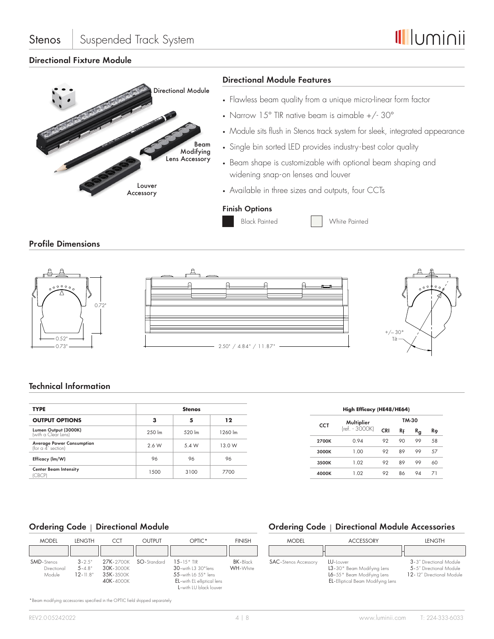

# **Directional Fixture Module**



# **Profile Dimensions**



#### **Technical Information**

| <b>TYPE</b>                                     |                    | <b>Stenos</b> |         |  |  |  |  |
|-------------------------------------------------|--------------------|---------------|---------|--|--|--|--|
| <b>OUTPUT OPTIONS</b>                           | 3                  | 5             | 12      |  |  |  |  |
| Lumen Output (3000K)<br> with a Clear Lens)     | $250 \, \text{Im}$ | 520 lm        | 1260 lm |  |  |  |  |
| Average Power Consumption<br>(for a 4' section) | 2.6 W              | 5.4 W         | 13.0 W  |  |  |  |  |
| Efficacy (lm/W)                                 | 96                 | 96            | 96      |  |  |  |  |
| <b>Center Beam Intensity</b><br><b>ICBCP</b>    | 1500               | 3100          | 7700    |  |  |  |  |

#### **High Efficacy (HE48/HE64) CCT Multiplier** (ref. - 3000K) **TM-30**

|       | (ret. - 3UUUK) | <b>CRI</b> | R£ | R <sub>g</sub> | Ro |
|-------|----------------|------------|----|----------------|----|
| 2700K | 0.94           | 92         | 90 | 99             | 58 |
| 3000K | 1.00           | 92         | 89 | 99             | 57 |
| 3500K | 1.02           | 92         | 89 | 99             | 60 |
| 4000K | 1.02           | 92         | 86 | 94             |    |

### **Ordering Code | Directional Module**



### **Ordering Code | Directional Module Accessories**

| <b>MODEL</b>                 | <b>ACCESSORY</b>                                                                                                  | <b>LENGTH</b>                                                                   |
|------------------------------|-------------------------------------------------------------------------------------------------------------------|---------------------------------------------------------------------------------|
|                              |                                                                                                                   |                                                                                 |
| <b>SAC</b> -Stenos Accessory | LU-Louver<br>L3-30° Beam Modifying Lens<br>L6-55° Beam Modifying Lens<br><b>EL-Elliptical Beam Modifying Lens</b> | 3-3" Directional Module<br>5-5" Directional Module<br>12-12" Directional Module |

\*Beam modifying accessories specified in the OPTIC field shipped separately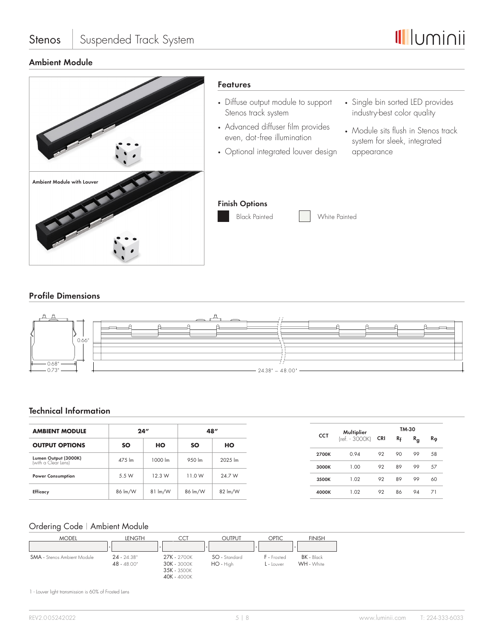

# **Ambient Module**

|                            | <b>Features</b>                                                  |                                                                     |  |
|----------------------------|------------------------------------------------------------------|---------------------------------------------------------------------|--|
|                            | • Diffuse output module to support<br>Stenos track system        | • Single bin sorted LED provides<br>industry-best color quality     |  |
|                            | • Advanced diffuser film provides<br>even, dot-free illumination | • Module sits flush in Stenos track<br>system for sleek, integrated |  |
|                            | • Optional integrated louver design                              | appearance                                                          |  |
| Ambient Module with Louver |                                                                  |                                                                     |  |
|                            | <b>Finish Options</b><br><b>Black Painted</b><br>White Painted   |                                                                     |  |
|                            |                                                                  |                                                                     |  |
|                            |                                                                  |                                                                     |  |

# **Profile Dimensions**



# **Technical Information**

| <b>AMBIENT MODULE</b>    |           | 24''    |           | 48"     |
|--------------------------|-----------|---------|-----------|---------|
| <b>OUTPUT OPTIONS</b>    | <b>SO</b> | HO      | <b>SO</b> | HO      |
| Lumen Output (3000K)     | 475 lm    | 1000 lm | 950 lm    | 2025 lm |
| (with a Clear Lens)      |           |         |           |         |
| <b>Power Consumption</b> | 5.5 W     | 12.3 W  | 11.0 W    | 24.7 W  |
| Efficacy                 | 86 lm/W   | 81 lm/W | 86 lm/W   | 82 lm/W |

# Ordering Code | Ambient Module

| <b>MODEL</b>                       | <b>LENGTH</b>                  |                                                                   | <b>OUTPUT</b>              | <b>OPTIC</b>              | <b>FINISH</b>              |
|------------------------------------|--------------------------------|-------------------------------------------------------------------|----------------------------|---------------------------|----------------------------|
| <b>SMA</b> - Stenos Ambient Module | $24 - 24.38"$<br>$48 - 48.00"$ | $27K - 2700K$<br><b>30K - 3000K</b><br>35K - 3500K<br>40K - 4000K | SO - Standard<br>HO - High | F - Frosted<br>L - Louver | $BK - Black$<br>WH - White |

1 - Louver light transmission is 60% of Frosted Lens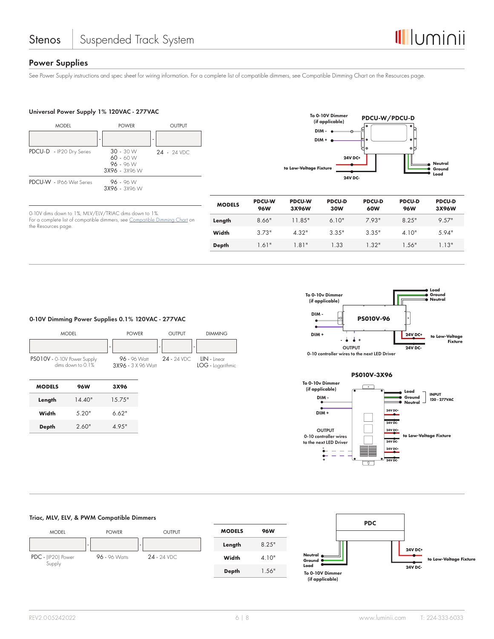#### **Power Supplies**

the Resources page.

See Power Supply instructions and spec sheet for wiring information. For a complete list of compatible dimmers, see Compatible Dimming Chart on the Resources page.

#### **Universal Power Supply 1% 120VAC - 277VAC**

0-10V dims down to 1%, MLV/ELV/TRIAC dims down to 1%.



For a complete list of compatible dimmers, see Compatible Dimming Chart on



| <b>MODELS</b> | <b>PDCU-W</b><br><b>96W</b> | <b>PDCU-W</b><br>3X96W | <b>PDCU-D</b><br><b>30W</b> | <b>PDCU-D</b><br>60W | <b>PDCU-D</b><br><b>96W</b> | <b>PDCU-D</b><br>3X96W |
|---------------|-----------------------------|------------------------|-----------------------------|----------------------|-----------------------------|------------------------|
| Length        | 8.66"                       | 11.85"                 | 6.10"                       | 7.93"                | 8.25"                       | 9.57"                  |
| Width         | 373"                        | 4.32"                  | 3.35"                       | 3.35"                | 4.10"                       | .594"                  |
| Depth         | 1.61"                       | 1.81"                  | 1.33                        | 1.32"                | 1.56"                       | 1 13"                  |



0-10 controller wires to the next LED Driver



#### **0-10V Dimming Power Supplies 0.1% 120VAC - 277VAC**

|                             | <b>MODEL</b>         | <b>POWER</b>                       |   | <b>OUTPUT</b>  | <b>DIMMING</b>                    |
|-----------------------------|----------------------|------------------------------------|---|----------------|-----------------------------------|
|                             |                      | ۰                                  | ۰ |                | ۰                                 |
| PSO10V - 0-10V Power Supply | dims down to $0.1\%$ | 96 - 96 Watt<br>3X96 - 3 X 96 Watt |   | $24 - 24$ VDC. | LIN - linear<br>LOG - Logarithmic |
| <b>MODELS</b>               | <b>96W</b>           | 3X96                               |   |                |                                   |
| Length                      | 14.40"               | 15.75"                             |   |                |                                   |
| Width                       | 5.20"                | 6.62"                              |   |                |                                   |
| <b>Depth</b>                | 2.60"                | 4.95"                              |   |                |                                   |
|                             |                      |                                    |   |                |                                   |

#### **Triac, MLV, ELV, & PWM Compatible Dimmers**



| <b>MODELS</b> | <b>96W</b> |
|---------------|------------|
| Length        | 8 2.5"     |
| Width         | 4.10"      |
| <b>Depth</b>  | 1.56"      |
|               |            |

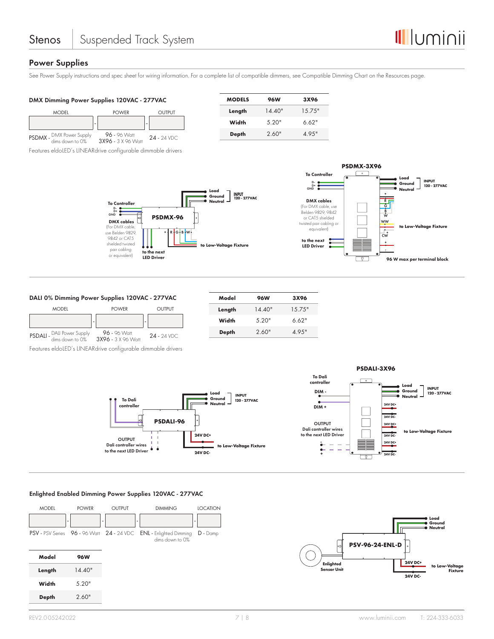# **Power Supplies**

See Power Supply instructions and spec sheet for wiring information. For a complete list of compatible dimmers, see Compatible Dimming Chart on the Resources page.

| DMX Dimming Power Supplies 120VAC - 277VAC    |                                                    |               | <b>MODELS</b> | <b>96W</b> | 3X96   |
|-----------------------------------------------|----------------------------------------------------|---------------|---------------|------------|--------|
| <b>MODEL</b>                                  | <b>POWER</b>                                       | Output        | Length        | 14.40"     | 15.75" |
|                                               |                                                    |               | Width         | 5.20"      | 6.62"  |
| DMX Power Supply<br>dims down to 0%<br>PSDMX- | y <b>96 -</b> 96 Watt<br><b>3X96 -</b> 3 X 96 Watt | $24 - 24$ VDC | <b>Depth</b>  | 2.60"      | 4.95"  |
|                                               |                                                    |               |               |            |        |

Features eldoLED's LINEARdrive configurable dimmable drivers





#### **DALI 0% Dimming Power Supplies 120VAC - 277VAC**



Features eldoLED's LINEARdrive configurable dimmable drivers

| Model  | <b>96W</b> | 3X96   |
|--------|------------|--------|
| Length | 14.40"     | 15.75" |
| Width  | .520"      | 6 62"  |
| Depth  | 2.60"      | 4 9.5" |
|        |            |        |



#### **Enlighted Enabled Dimming Power Supplies 120VAC - 277VAC**